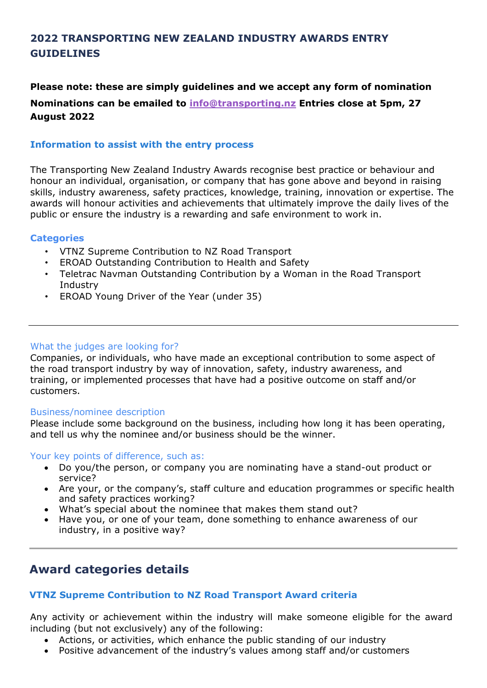# **2022 TRANSPORTING NEW ZEALAND INDUSTRY AWARDS ENTRY GUIDELINES**

**Please note: these are simply guidelines and we accept any form of nomination Nominations can be emailed to [info@transporting.nz](mailto:info@transporting.nz) Entries close at 5pm, 27 August 2022**

## **Information to assist with the entry process**

The Transporting New Zealand Industry Awards recognise best practice or behaviour and honour an individual, organisation, or company that has gone above and beyond in raising skills, industry awareness, safety practices, knowledge, training, innovation or expertise. The awards will honour activities and achievements that ultimately improve the daily lives of the public or ensure the industry is a rewarding and safe environment to work in.

### **Categories**

- VTNZ Supreme Contribution to NZ Road Transport
- EROAD Outstanding Contribution to Health and Safety
- Teletrac Navman Outstanding Contribution by a Woman in the Road Transport Industry
- EROAD Young Driver of the Year (under 35)

#### What the judges are looking for?

Companies, or individuals, who have made an exceptional contribution to some aspect of the road transport industry by way of innovation, safety, industry awareness, and training, or implemented processes that have had a positive outcome on staff and/or customers.

#### Business/nominee description

Please include some background on the business, including how long it has been operating, and tell us why the nominee and/or business should be the winner.

Your key points of difference, such as:

- Do you/the person, or company you are nominating have a stand-out product or service?
- Are your, or the company's, staff culture and education programmes or specific health and safety practices working?
- What's special about the nominee that makes them stand out?
- Have you, or one of your team, done something to enhance awareness of our industry, in a positive way?

# **Award categories details**

## **VTNZ Supreme Contribution to NZ Road Transport Award criteria**

Any activity or achievement within the industry will make someone eligible for the award including (but not exclusively) any of the following:

- Actions, or activities, which enhance the public standing of our industry
- Positive advancement of the industry's values among staff and/or customers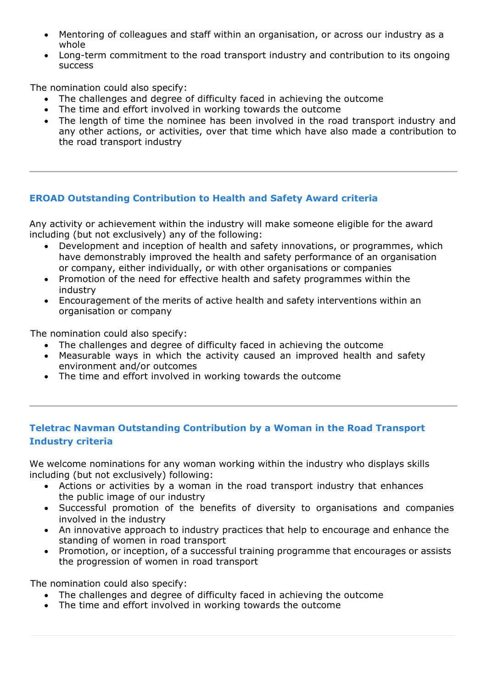- Mentoring of colleagues and staff within an organisation, or across our industry as a whole
- Long-term commitment to the road transport industry and contribution to its ongoing success

The nomination could also specify:

- The challenges and degree of difficulty faced in achieving the outcome
- The time and effort involved in working towards the outcome
- The length of time the nominee has been involved in the road transport industry and any other actions, or activities, over that time which have also made a contribution to the road transport industry

## **EROAD Outstanding Contribution to Health and Safety Award criteria**

Any activity or achievement within the industry will make someone eligible for the award including (but not exclusively) any of the following:

- Development and inception of health and safety innovations, or programmes, which have demonstrably improved the health and safety performance of an organisation or company, either individually, or with other organisations or companies
- Promotion of the need for effective health and safety programmes within the industry
- Encouragement of the merits of active health and safety interventions within an organisation or company

The nomination could also specify:

- The challenges and degree of difficulty faced in achieving the outcome
- Measurable ways in which the activity caused an improved health and safety environment and/or outcomes
- The time and effort involved in working towards the outcome

# **Teletrac Navman Outstanding Contribution by a Woman in the Road Transport Industry criteria**

We welcome nominations for any woman working within the industry who displays skills including (but not exclusively) following:

- Actions or activities by a woman in the road transport industry that enhances the public image of our industry
- Successful promotion of the benefits of diversity to organisations and companies involved in the industry
- An innovative approach to industry practices that help to encourage and enhance the standing of women in road transport
- Promotion, or inception, of a successful training programme that encourages or assists the progression of women in road transport

The nomination could also specify:

- The challenges and degree of difficulty faced in achieving the outcome
- The time and effort involved in working towards the outcome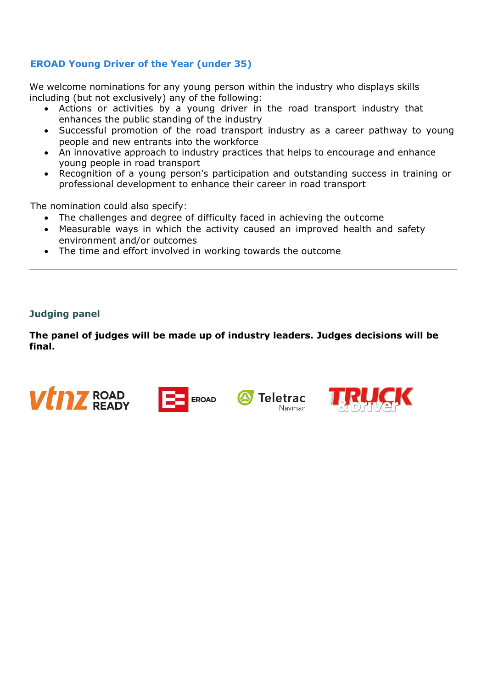# **EROAD Young Driver of the Year (under 35)**

We welcome nominations for any young person within the industry who displays skills including (but not exclusively) any of the following:

- Actions or activities by a young driver in the road transport industry that enhances the public standing of the industry
- Successful promotion of the road transport industry as a career pathway to young people and new entrants into the workforce
- An innovative approach to industry practices that helps to encourage and enhance young people in road transport
- Recognition of a young person's participation and outstanding success in training or professional development to enhance their career in road transport

The nomination could also specify:

- The challenges and degree of difficulty faced in achieving the outcome
- Measurable ways in which the activity caused an improved health and safety environment and/or outcomes
- The time and effort involved in working towards the outcome

### **Judging panel**

**The panel of judges will be made up of industry leaders. Judges decisions will be final.**

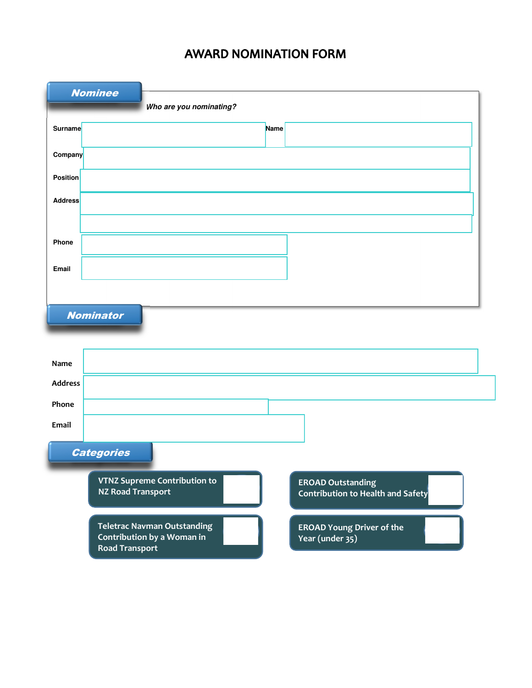# **AWARD NOMINATION FORM**

| <b>Nominee</b>          |                          |                                                                  |      |                                                               |
|-------------------------|--------------------------|------------------------------------------------------------------|------|---------------------------------------------------------------|
| Who are you nominating? |                          |                                                                  |      |                                                               |
| Surname                 |                          |                                                                  | Name |                                                               |
| Company                 |                          |                                                                  |      |                                                               |
| <b>Position</b>         |                          |                                                                  |      |                                                               |
| <b>Address</b>          |                          |                                                                  |      |                                                               |
|                         |                          |                                                                  |      |                                                               |
| Phone                   |                          |                                                                  |      |                                                               |
| Email                   |                          |                                                                  |      |                                                               |
|                         |                          |                                                                  |      |                                                               |
| <b>Nominator</b>        |                          |                                                                  |      |                                                               |
|                         |                          |                                                                  |      |                                                               |
| Name                    |                          |                                                                  |      |                                                               |
| <b>Address</b>          |                          |                                                                  |      |                                                               |
| Phone                   |                          |                                                                  |      |                                                               |
| Email                   |                          |                                                                  |      |                                                               |
| <b>Categories</b>       |                          |                                                                  |      |                                                               |
|                         |                          | <b>VTNZ Supreme Contribution to</b>                              |      |                                                               |
|                         | <b>NZ Road Transport</b> |                                                                  |      | <b>EROAD Outstanding</b><br>Contribution to Health and Safety |
|                         | <b>Road Transport</b>    | <b>Teletrac Navman Outstanding</b><br>Contribution by a Woman in |      | <b>EROAD Young Driver of the</b><br>Year (under 35)           |